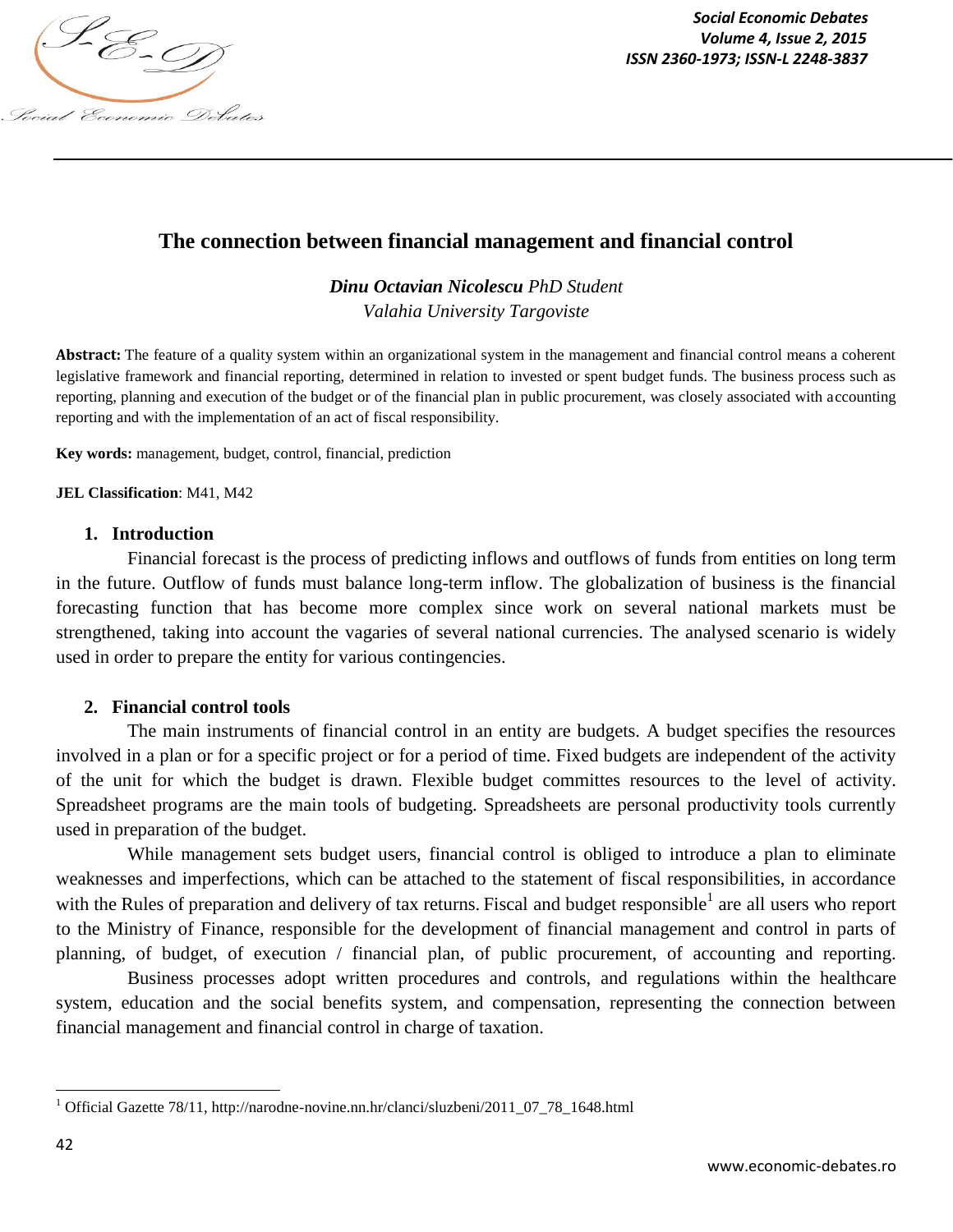

*Social Economic Debates ISSN 2360-1973; ISSN-L 2248-3837*

# **The connection between financial management and financial control**

*Dinu Octavian Nicolescu PhD Student Valahia University Targoviste*

**Abstract:** The feature of a quality system within an organizational system in the management and financial control means a coherent legislative framework and financial reporting, determined in relation to invested or spent budget funds. The business process such as reporting, planning and execution of the budget or of the financial plan in public procurement, was closely associated with accounting reporting and with the implementation of an act of fiscal responsibility.

**Key words:** management, budget, control, financial, prediction

#### **JEL Classification**: M41, M42

#### **1. Introduction**

Financial forecast is the process of predicting inflows and outflows of funds from entities on long term in the future. Outflow of funds must balance long-term inflow. The globalization of business is the financial forecasting function that has become more complex since work on several national markets must be strengthened, taking into account the vagaries of several national currencies. The analysed scenario is widely used in order to prepare the entity for various contingencies.

#### **2. Financial control tools**

The main instruments of financial control in an entity are budgets. A budget specifies the resources involved in a plan or for a specific project or for a period of time. Fixed budgets are independent of the activity of the unit for which the budget is drawn. Flexible budget committes resources to the level of activity. Spreadsheet programs are the main tools of budgeting. Spreadsheets are personal productivity tools currently used in preparation of the budget.

While management sets budget users, financial control is obliged to introduce a plan to eliminate weaknesses and imperfections, which can be attached to the statement of fiscal responsibilities, in accordance with the Rules of preparation and delivery of tax returns. Fiscal and budget responsible  $1$  are all users who report to the Ministry of Finance, responsible for the development of financial management and control in parts of planning, of budget, of execution / financial plan, of public procurement, of accounting and reporting.

Business processes adopt written procedures and controls, and regulations within the healthcare system, education and the social benefits system, and compensation, representing the connection between financial management and financial control in charge of taxation.

 $\overline{\phantom{a}}$ 

<sup>&</sup>lt;sup>1</sup> Official Gazette 78/11, http://narodne-novine.nn.hr/clanci/sluzbeni/2011\_07\_78\_1648.html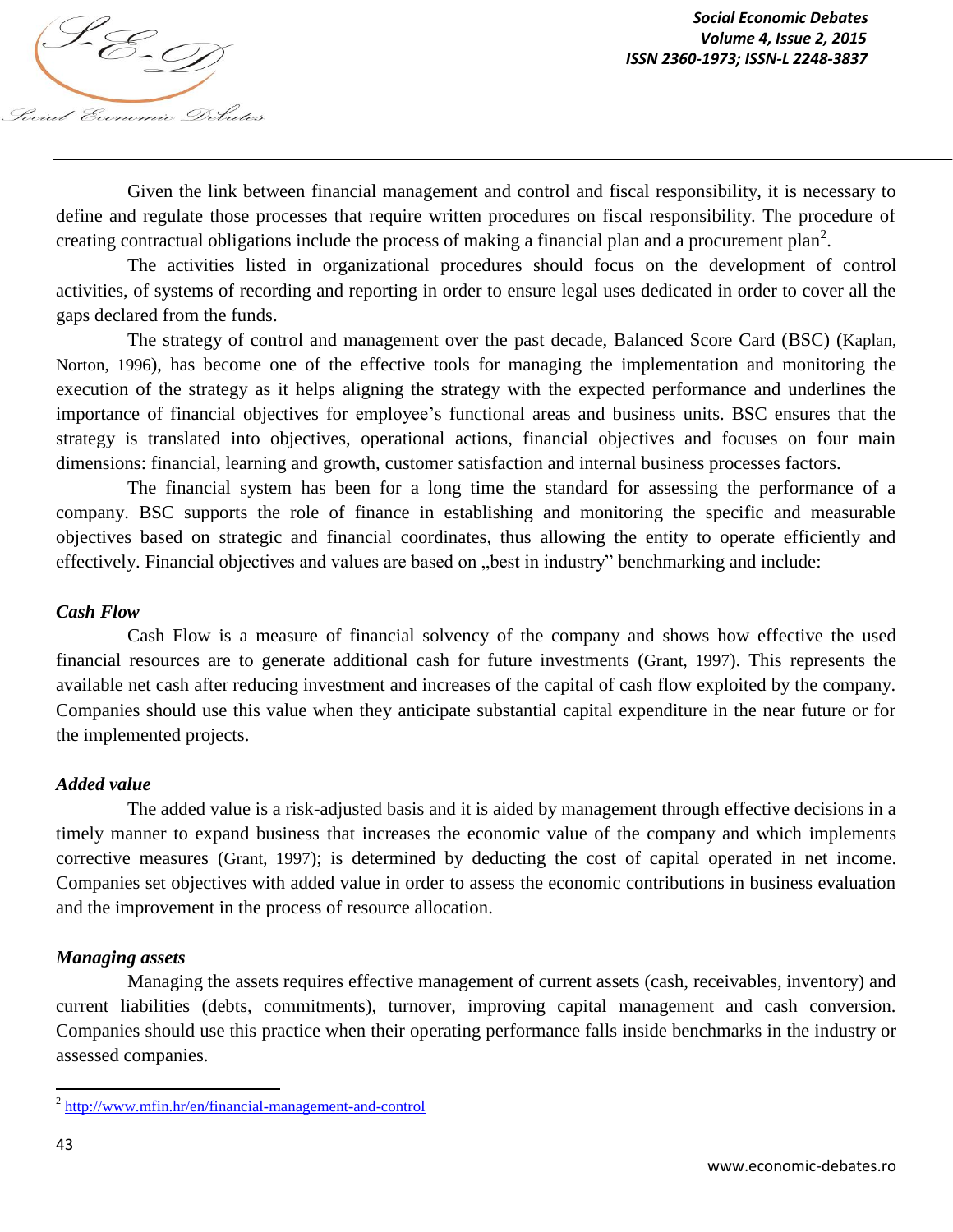Given the link between financial management and control and fiscal responsibility, it is necessary to define and regulate those processes that require written procedures on fiscal responsibility. The procedure of creating contractual obligations include the process of making a financial plan and a procurement plan<sup>2</sup>.

The activities listed in organizational procedures should focus on the development of control activities, of systems of recording and reporting in order to ensure legal uses dedicated in order to cover all the gaps declared from the funds.

The strategy of control and management over the past decade, Balanced Score Card (BSC) (Kaplan, Norton, 1996), has become one of the effective tools for managing the implementation and monitoring the execution of the strategy as it helps aligning the strategy with the expected performance and underlines the importance of financial objectives for employee's functional areas and business units. BSC ensures that the strategy is translated into objectives, operational actions, financial objectives and focuses on four main dimensions: financial, learning and growth, customer satisfaction and internal business processes factors.

The financial system has been for a long time the standard for assessing the performance of a company. BSC supports the role of finance in establishing and monitoring the specific and measurable objectives based on strategic and financial coordinates, thus allowing the entity to operate efficiently and effectively. Financial objectives and values are based on "best in industry" benchmarking and include:

### *Cash Flow*

Cash Flow is a measure of financial solvency of the company and shows how effective the used financial resources are to generate additional cash for future investments (Grant, 1997). This represents the available net cash after reducing investment and increases of the capital of cash flow exploited by the company. Companies should use this value when they anticipate substantial capital expenditure in the near future or for the implemented projects.

#### *Added value*

The added value is a risk-adjusted basis and it is aided by management through effective decisions in a timely manner to expand business that increases the economic value of the company and which implements corrective measures (Grant, 1997); is determined by deducting the cost of capital operated in net income. Companies set objectives with added value in order to assess the economic contributions in business evaluation and the improvement in the process of resource allocation.

# *Managing assets*

Managing the assets requires effective management of current assets (cash, receivables, inventory) and current liabilities (debts, commitments), turnover, improving capital management and cash conversion. Companies should use this practice when their operating performance falls inside benchmarks in the industry or assessed companies.

 $\overline{\phantom{a}}$ 

<sup>&</sup>lt;sup>2</sup> http://www.mfin.hr/en/financial-management-and-control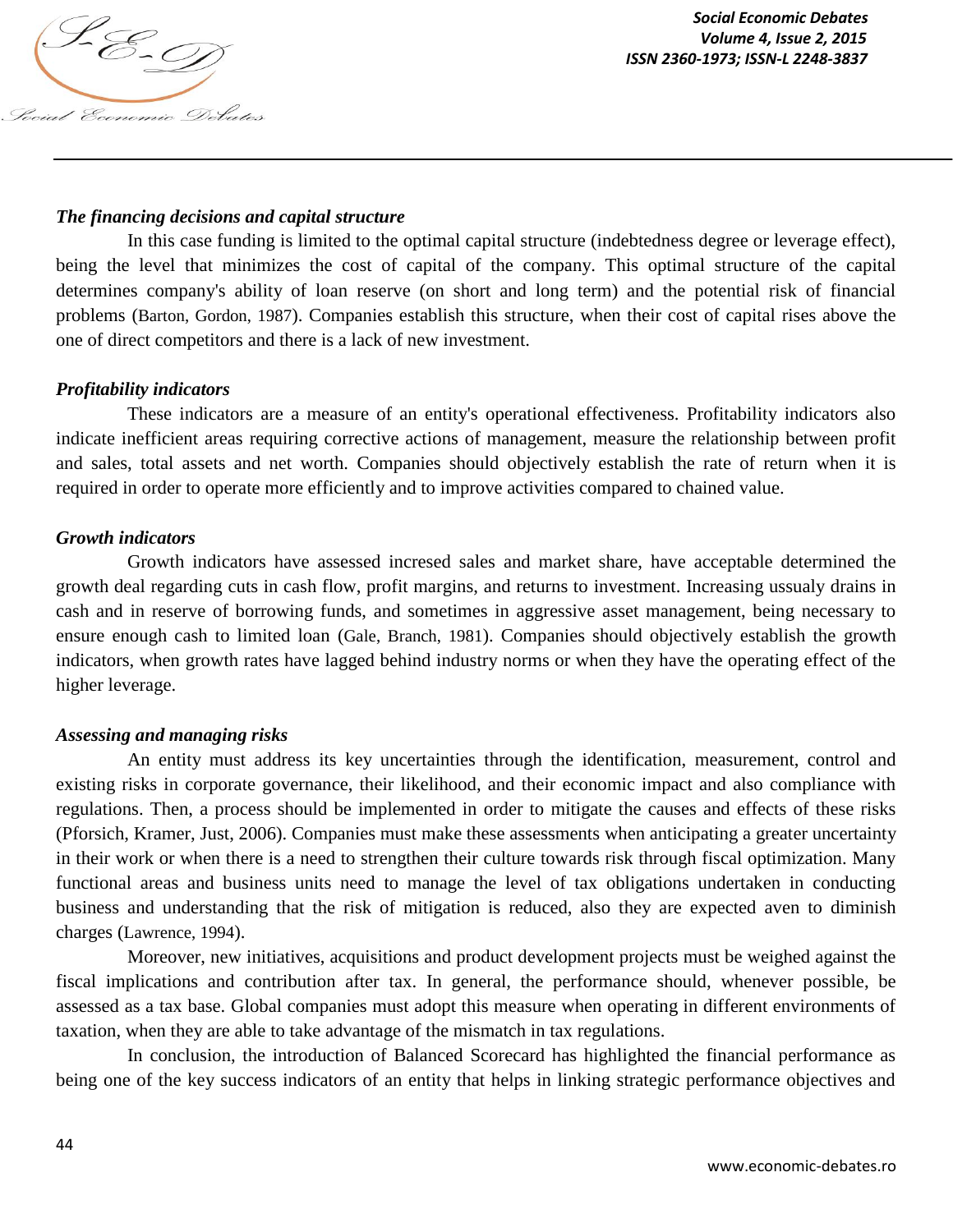

### *The financing decisions and capital structure*

In this case funding is limited to the optimal capital structure (indebtedness degree or leverage effect), being the level that minimizes the cost of capital of the company. This optimal structure of the capital determines company's ability of loan reserve (on short and long term) and the potential risk of financial problems (Barton, Gordon, 1987). Companies establish this structure, when their cost of capital rises above the one of direct competitors and there is a lack of new investment.

### *Profitability indicators*

These indicators are a measure of an entity's operational effectiveness. Profitability indicators also indicate inefficient areas requiring corrective actions of management, measure the relationship between profit and sales, total assets and net worth. Companies should objectively establish the rate of return when it is required in order to operate more efficiently and to improve activities compared to chained value.

#### *Growth indicators*

Growth indicators have assessed incresed sales and market share, have acceptable determined the growth deal regarding cuts in cash flow, profit margins, and returns to investment. Increasing ussualy drains in cash and in reserve of borrowing funds, and sometimes in aggressive asset management, being necessary to ensure enough cash to limited loan (Gale, Branch, 1981). Companies should objectively establish the growth indicators, when growth rates have lagged behind industry norms or when they have the operating effect of the higher leverage.

#### *Assessing and managing risks*

An entity must address its key uncertainties through the identification, measurement, control and existing risks in corporate governance, their likelihood, and their economic impact and also compliance with regulations. Then, a process should be implemented in order to mitigate the causes and effects of these risks (Pforsich, Kramer, Just, 2006). Companies must make these assessments when anticipating a greater uncertainty in their work or when there is a need to strengthen their culture towards risk through fiscal optimization. Many functional areas and business units need to manage the level of tax obligations undertaken in conducting business and understanding that the risk of mitigation is reduced, also they are expected aven to diminish charges (Lawrence, 1994).

Moreover, new initiatives, acquisitions and product development projects must be weighed against the fiscal implications and contribution after tax. In general, the performance should, whenever possible, be assessed as a tax base. Global companies must adopt this measure when operating in different environments of taxation, when they are able to take advantage of the mismatch in tax regulations.

In conclusion, the introduction of Balanced Scorecard has highlighted the financial performance as being one of the key success indicators of an entity that helps in linking strategic performance objectives and